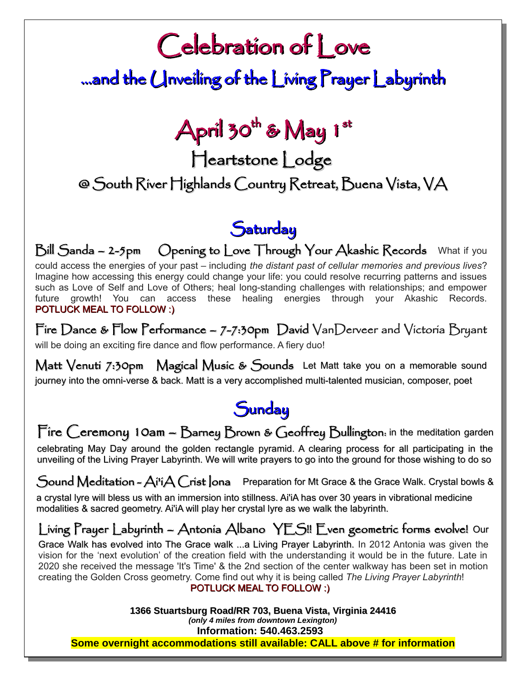# Celebration of Love

## ...and the Unveiling of the Living Prayer Labyrinth

## April 30<sup>th</sup> & May 1st

Heartstone Lodge

### @ South River Highlands Country Retreat, Buena Vista, VA

### **Saturday**

Bill Sanda – 2-5pm Opening to Love Through Your Akashic Records What if you could access the energies of your past – including *the distant past of cellular memories and previous lives*? Imagine how accessing this energy could change your life: you could resolve recurring patterns and issues such as Love of Self and Love of Others; heal long-standing challenges with relationships; and empower future growth! You can access these healing energies through your Akashic Records. POTLUCK MEAL TO FOLLOW :)

Fire Dance & Flow Performance – 7-7:30pm David VanDerveer and Victoria Bryant will be doing an exciting fire dance and flow performance. A fiery duo!

Matt Venuti 7:30pm Magical Music & Sounds Let Matt take you on a memorable sound journey into the omni-verse & back. Matt is a very accomplished multi-talented musician, composer, poet

### **Sunday**

Fire Ceremony 10am - Barney Brown & Geoffrey Bullington: in the meditation garden

celebrating May Day around the golden rectangle pyramid. A clearing process for all participating in the unveiling of the Living Prayer Labyrinth. We will write prayers to go into the ground for those wishing to do so

Sound Meditation -  $A$ i'i $A$  Crist lona Preparation for Mt Grace & the Grace Walk. Crystal bowls &

a crystal lyre will bless us with an immersion into stillness. Ai'iA has over 30 years in vibrational medicine modalities & sacred geometry. Ai'iA will play her crystal lyre as we walk the labyrinth.

### Living Prayer Labyrinth – Antonia Albano YES!! Even geometric forms evolve! Our

Grace Walk has evolved into The Grace walk ...a Living Prayer Labyrinth. In 2012 Antonia was given the vision for the 'next evolution' of the creation field with the understanding it would be in the future. Late in 2020 she received the message 'It's Time' & the 2nd section of the center walkway has been set in motion creating the Golden Cross geometry. Come find out why it is being called *The Living Prayer Labyrinth*!

#### POTLUCK MEAL TO FOLLOW :)

**1366 Stuartsburg Road/RR 703, Buena Vista, Virginia 24416** *(only 4 miles from downtown Lexington)* **Information: 540.463.2593** 

**Some overnight accommodations still available: CALL above # for information**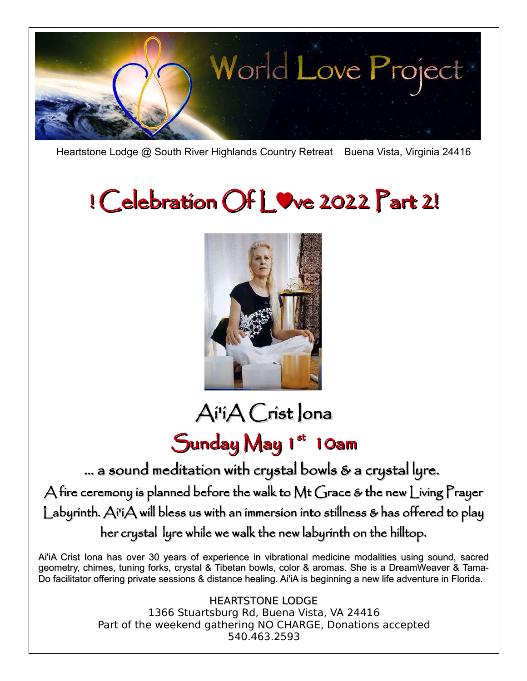

Heartstone Lodge @ South River Highlands Country Retreat Buena Vista, Virginia 24416

# ! Celebration Of L♥ve 2022 Part 2!



Ai'iA Crist Iona

## Sunday May 1st 10am

… a sound meditation with crystal bowls & a crystal lyre.

A fire ceremony is planned before the walk to Mt Grace & the new Living Prayer Labyrinth. Ai'iA will bless us with an immersion into stillness & has offered to play her crystal lyre while we walk the new labyrinth on the hilltop.

Ai'iA Crist Iona has over 30 years of experience in vibrational medicine modalities using sound, sacred geometry, chimes, tuning forks, crystal & Tibetan bowls, color & aromas. She is a DreamWeaver & Tama-Do facilitator offering private sessions & distance healing. Ai'iA is beginning a new life adventure in Florida.

> HEARTSTONE LODGE 1366 Stuartsburg Rd, Buena Vista, VA 24416 Part of the weekend gathering NO CHARGE, Donations accepted 540.463.2593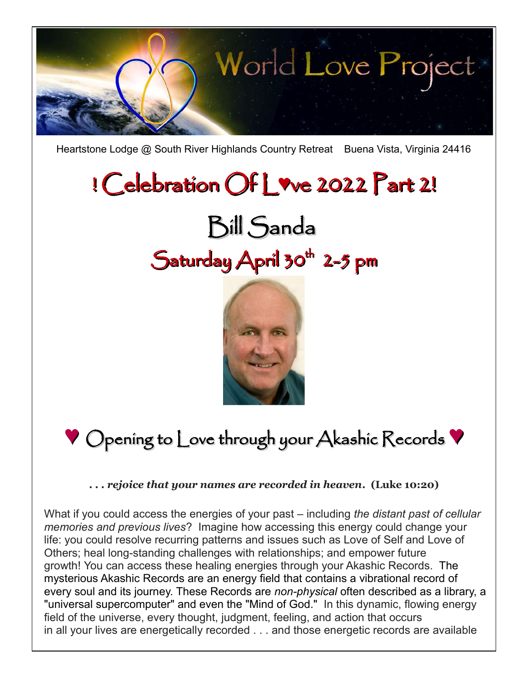

Heartstone Lodge @ South River Highlands Country Retreat Buena Vista, Virginia 24416

# ! Celebration Of L**♥**ve 2022 Part 2!

# Bill Sanda Saturday April 30<sup>th</sup> 2-5 pm



## **♥** Opening to Love through your Akashic Records **♥**

*. . . rejoice that your names are recorded in heaven***. (Luke 10:20)**

What if you could access the energies of your past – including *the distant past of cellular memories and previous lives*? Imagine how accessing this energy could change your life: you could resolve recurring patterns and issues such as Love of Self and Love of Others; heal long-standing challenges with relationships; and empower future growth! You can access these healing energies through your Akashic Records. The mysterious Akashic Records are an energy field that contains a vibrational record of every soul and its journey. These Records are *non-physical* often described as a library, a "universal supercomputer" and even the "Mind of God." In this dynamic, flowing energy field of the universe, every thought, judgment, feeling, and action that occurs in all your lives are energetically recorded . . . and those energetic records are available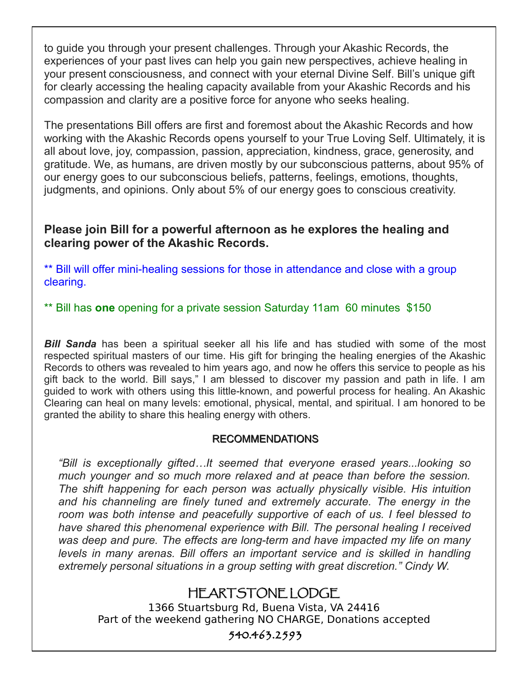to guide you through your present challenges. Through your Akashic Records, the experiences of your past lives can help you gain new perspectives, achieve healing in your present consciousness, and connect with your eternal Divine Self. Bill's unique gift for clearly accessing the healing capacity available from your Akashic Records and his compassion and clarity are a positive force for anyone who seeks healing.

The presentations Bill offers are first and foremost about the Akashic Records and how working with the Akashic Records opens yourself to your True Loving Self. Ultimately, it is all about love, joy, compassion, passion, appreciation, kindness, grace, generosity, and gratitude. We, as humans, are driven mostly by our subconscious patterns, about 95% of our energy goes to our subconscious beliefs, patterns, feelings, emotions, thoughts, judgments, and opinions. Only about 5% of our energy goes to conscious creativity.

#### **Please join Bill for a powerful afternoon as he explores the healing and clearing power of the Akashic Records.**

\*\* Bill will offer mini-healing sessions for those in attendance and close with a group clearing.

\*\* Bill has **one** opening for a private session Saturday 11am 60 minutes \$150

*Bill Sanda* has been a spiritual seeker all his life and has studied with some of the most respected spiritual masters of our time. His gift for bringing the healing energies of the Akashic Records to others was revealed to him years ago, and now he offers this service to people as his gift back to the world. Bill says," I am blessed to discover my passion and path in life. I am guided to work with others using this little-known, and powerful process for healing. An Akashic Clearing can heal on many levels: emotional, physical, mental, and spiritual. I am honored to be granted the ability to share this healing energy with others.

#### RECOMMENDATIONS

*"Bill is exceptionally gifted…It seemed that everyone erased years...looking so much younger and so much more relaxed and at peace than before the session. The shift happening for each person was actually physically visible. His intuition and his channeling are finely tuned and extremely accurate. The energy in the room was both intense and peacefully supportive of each of us. I feel blessed to have shared this phenomenal experience with Bill. The personal healing I received was deep and pure. The effects are long-term and have impacted my life on many levels in many arenas. Bill offers an important service and is skilled in handling extremely personal situations in a group setting with great discretion." Cindy W.*

#### HEARTSTONE LODGE

1366 Stuartsburg Rd, Buena Vista, VA 24416 Part of the weekend gathering NO CHARGE, Donations accepted

#### 540.463.2593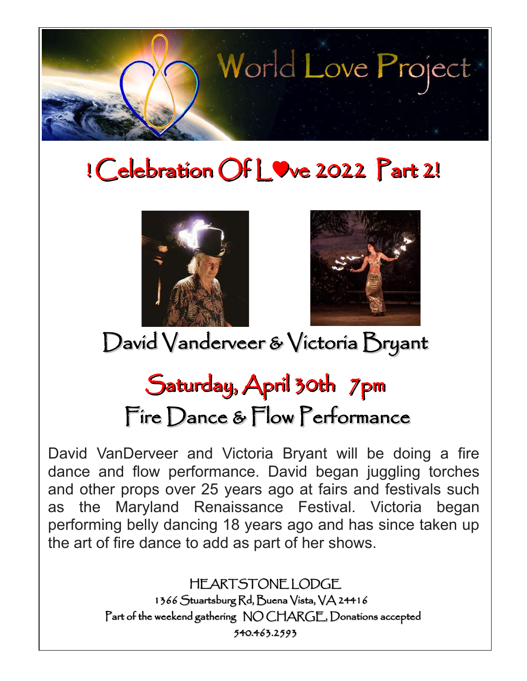

# ! Celebration Of L♥ve 2022 Part 2!





David Vanderveer & Victoria Bryant

## Saturday, April 30th 7pm Fire Dance & Flow Performance

David VanDerveer and Victoria Bryant will be doing a fire dance and flow performance. David began juggling torches and other props over 25 years ago at fairs and festivals such as the Maryland Renaissance Festival. Victoria began performing belly dancing 18 years ago and has since taken up the art of fire dance to add as part of her shows.

> HEARTSTONE LODGE 1366 Stuartsburg Rd, Buena Vista, VA 24416 Part of the weekend gathering NO CHARGE, Donations accepted 540.463.2593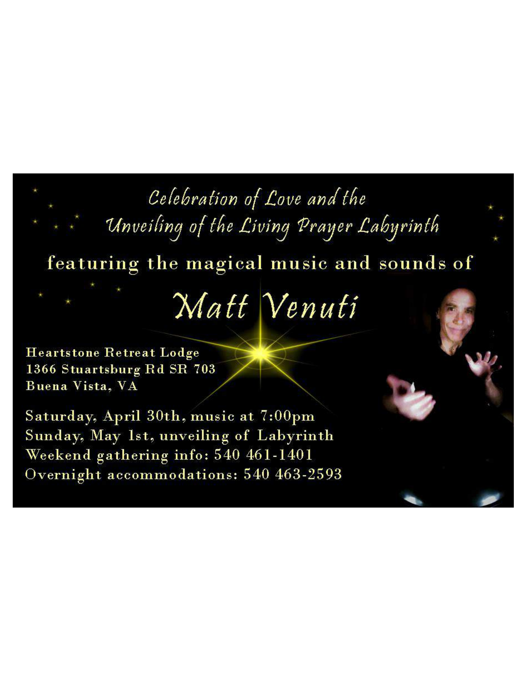## Celebration of Love and the

Unveiling of the Living Prayer Labyrinth

featuring the magical music and sounds of

# Matt Venuti

**Heartstone Retreat Lodge** 1366 Stuartsburg Rd SR 703 Buena Vista, VA

Saturday, April 30th, music at 7:00pm Sunday, May 1st, unveiling of Labyrinth Weekend gathering info: 540 461-1401 Overnight accommodations: 540 463-2593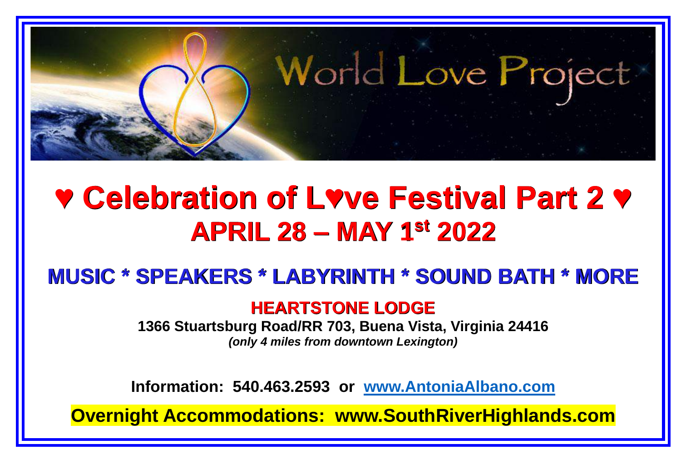

### **♥ Celebration of L♥ve Festival Part 2 ♥ APRIL 28 – MAY 1st 2022**

#### **MUSIC \* SPEAKERS \* LABYRINTH \* SOUND BATH \* MORE**

#### **HEARTSTONE LODGE**

**1366 Stuartsburg Road/RR 703, Buena Vista, Virginia 24416** *(only 4 miles from downtown Lexington)*

**Information: 540.463.2593 or [www.AntoniaAlbano.com](http://www.antoniaalbano.com/)**

**Overnight Accommodations: [www.SouthRiverHighlands.com](http://www.southriverhighlands.com/)**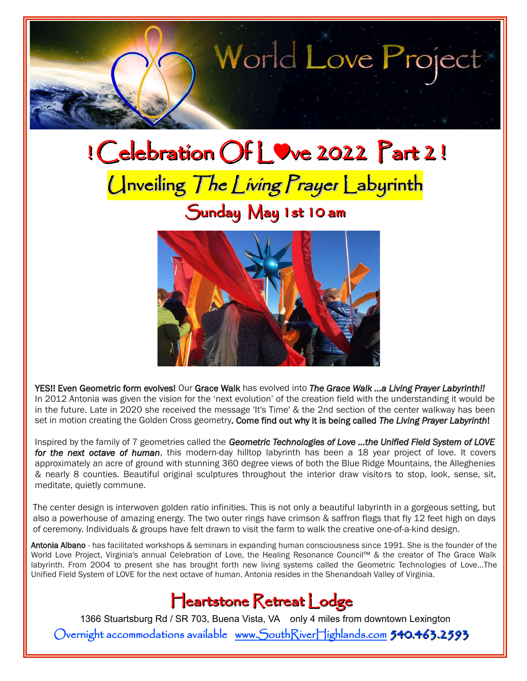

# ! Celebration Of L♥ve 2022 Part 2 ! Unveiling The Living Prayer Labyrinth

### Sunday May 1st 10 am



YES!! Even Geometric form evolves! Our Grace Walk has evolved into *The Grace Walk …a Living Prayer Labyrinth!!* In 2012 Antonia was given the vision for the 'next evolution' of the creation field with the understanding it would be in the future. Late in 2020 she received the message 'It's Time' & the 2nd section of the center walkway has been set in motion creating the Golden Cross geometry. Come find out why it is being called *The Living Prayer Labyrinth*!

Inspired by the family of 7 geometries called the *Geometric Technologies of Love ...the Unified Field System of LOVE for the next octave of human*, this modern-day hilltop labyrinth has been a 18 year project of love. It covers approximately an acre of ground with stunning 360 degree views of both the Blue Ridge Mountains, the Alleghenies & nearly 8 counties. Beautiful original sculptures throughout the interior draw visitors to stop, look, sense, sit, meditate, quietly commune.

The center design is interwoven golden ratio infinities. This is not only a beautiful labyrinth in a gorgeous setting, but also a powerhouse of amazing energy. The two outer rings have crimson & saffron flags that fly 12 feet high on days of ceremony. Individuals & groups have felt drawn to visit the farm to walk the creative one-of-a-kind design.

Antonia Albano - has facilitated workshops & seminars in expanding human consciousness since 1991. She is the founder of the World Love Project, Virginia's annual Celebration of Love, the Healing Resonance Council™ & the creator of The Grace Walk labyrinth. From 2004 to present she has brought forth new living systems called the Geometric Technologies of Love...The Unified Field System of LOVE for the next octave of human. Antonia resides in the Shenandoah Valley of Virginia.

Heartstone Retreat Lodge

1366 Stuartsburg Rd / SR 703, Buena Vista, VA only 4 miles from downtown Lexington Overnight accommodations available [www.SouthRiverHighlands.com](http://www.SouthRiverHighlands.com/) 540.463.2593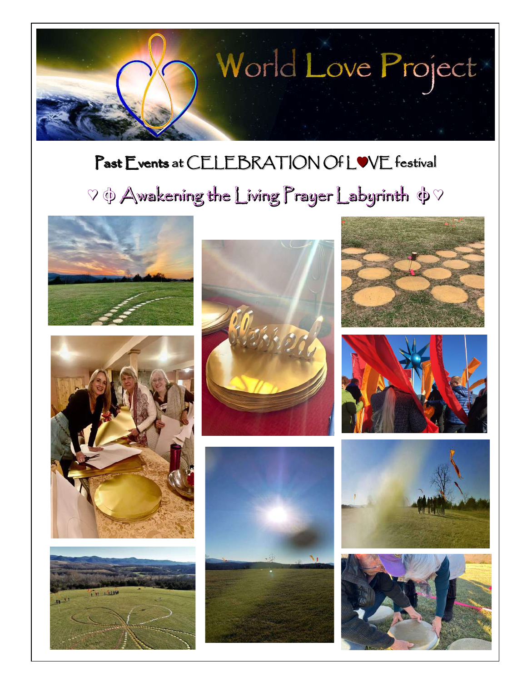

## Past Events at CELEBRATION Of L♥VE festival

## $\heartsuit$   $\phi$  Awakening the Living Prayer Labyrinth  $\phi \heartsuit$